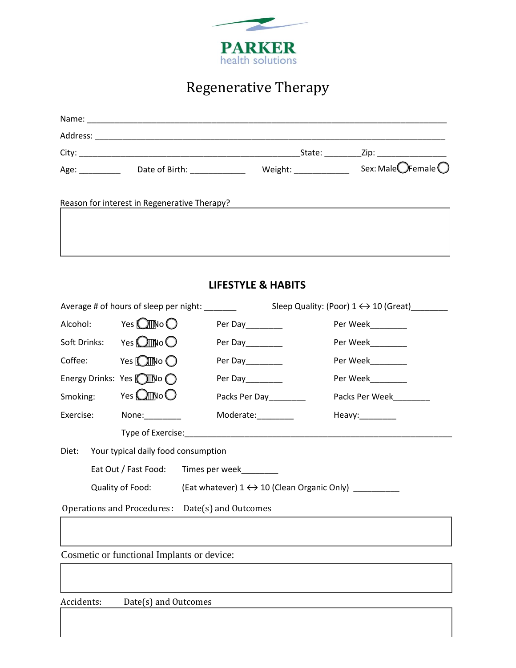

# Regenerative Therapy

| Name:              |                                                                                                                                                                                                                               |                 |                                        |
|--------------------|-------------------------------------------------------------------------------------------------------------------------------------------------------------------------------------------------------------------------------|-----------------|----------------------------------------|
| Address:           |                                                                                                                                                                                                                               |                 |                                        |
| City:              |                                                                                                                                                                                                                               | State:          | _Zip: ____________________             |
| Age: $\frac{1}{2}$ | Date of Birth: National Paradise Contract Contract Contract Contract Contract Contract Contract Contract Contract Contract Contract Contract Contract Contract Contract Contract Contract Contract Contract Contract Contract | Weight: Weight: | Sex: Male $\bigcirc$ Female $\bigcirc$ |
|                    | Reason for interest in Regenerative Therapy?                                                                                                                                                                                  |                 |                                        |
|                    |                                                                                                                                                                                                                               |                 |                                        |

# **LIFESTYLE & HABITS**

|                                                 | Average # of hours of sleep per night: ______ |                                                                                         | Sleep Quality: (Poor) $1 \leftrightarrow 10$ (Great) |  |
|-------------------------------------------------|-----------------------------------------------|-----------------------------------------------------------------------------------------|------------------------------------------------------|--|
|                                                 | Alcohol: Yes $\bigcirc$ No $\bigcirc$         | Per Day________                                                                         | Per Week________                                     |  |
|                                                 | Soft Drinks: Yes $O$ No $O$                   | Per Day_______                                                                          | Per Week________                                     |  |
|                                                 | Coffee: $Yes$ O No O                          | Per Day________                                                                         | Per Week_________                                    |  |
|                                                 | Energy Drinks: Yes $\bigcirc$ No $\bigcirc$   | Per Day_______                                                                          | Per Week________                                     |  |
|                                                 | Smoking: Yes $\bigcirc$ No $\bigcirc$         | Packs Per Day________                                                                   | Packs Per Week_________                              |  |
|                                                 | Exercise: None:                               | Moderate:________                                                                       | Heavy:________                                       |  |
|                                                 |                                               |                                                                                         |                                                      |  |
| Diet: Your typical daily food consumption       |                                               |                                                                                         |                                                      |  |
|                                                 |                                               | Eat Out / Fast Food: Times per week                                                     |                                                      |  |
|                                                 |                                               | Quality of Food: $(Ent$ whatever) $1 \leftrightarrow 10$ (Clean Organic Only) _________ |                                                      |  |
| Operations and Procedures: Date(s) and Outcomes |                                               |                                                                                         |                                                      |  |
|                                                 |                                               |                                                                                         |                                                      |  |
|                                                 | Cognotia or functional Implanta or device     |                                                                                         |                                                      |  |

Cosmetic or functional Implants or device:

Accidents: Date(s) and Outcomes